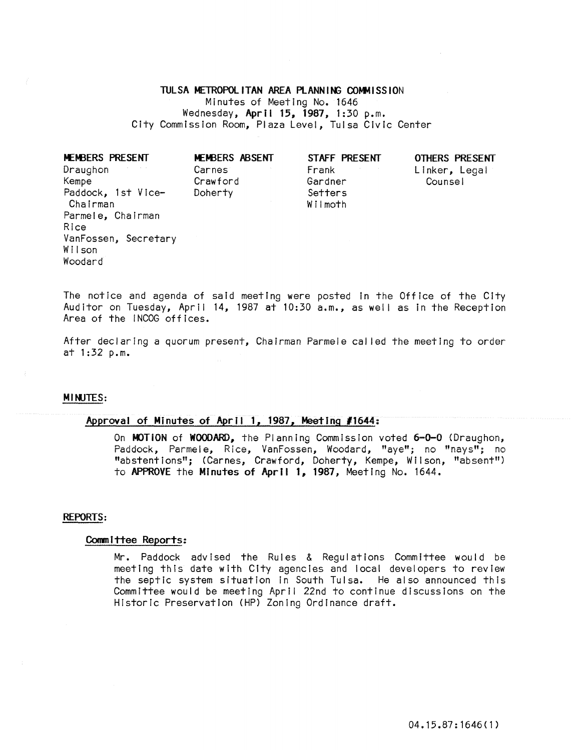# TUL SA METROPOL ITAN AREA PLANN ING COMMISSION

Minutes of Meeting No. 1646 Wednesday, April 15, 1987, 1:30 p.m. City Commission Room, Plaza Level, Tulsa Civic Center

| MEMBERS PRESENT      | MEMBERS ABSENT | STAFF PRESENT | OTHERS PRESENT |
|----------------------|----------------|---------------|----------------|
| Draughon             | Carnes         | Frank         | Linker, Legal  |
| Kempe                | Crawford       | Gardner       | Counsel        |
| Paddock, 1st Vice-   | Doherty        | Setters       |                |
| Chairman             |                | Wilmoth       |                |
| Parmele, Chairman    |                |               |                |
| Rice                 |                |               |                |
| VanFossen, Secretary |                |               |                |
| Wilson               |                |               |                |
| Woodard              |                |               |                |

The notice and agenda of said meeting were posted in the Office of the City Auditor on Tuesday, April 14, 1987 at 10:30 a.m., as well as in the Reception Area of the iNCOG offices.

After declaring a quorum present, Chairman Parmele cal led the meeting to order at 1:32 p.m.

# MINJTES:

# Approval of Minutes of April 1, 1987, Meeting *11644:*

On MOTiON of WOODARD, the Planning Commission voted 6-0-0 (Draughon, Paddock, Parmele, Rice, VanFossen, Woodard, "aye"; no "nays"; no "abstentions"; (Carnes, Crawford, Doherty, Kempe, Wilson, "absent") to APPROVE the Minutes of April 1, 1987, Meeting No. 1644.

#### REPORTS:

#### Committee Reports:

Mr. Paddock advised the Rules & Regulations Committee would be meeting this date with City agencies and local developers to review the septic system situation in South Tulsa. He also announced this Committee would be meeting April 22nd to continue discussions on the Historic Preservation (HP) Zoning Ordinance draft.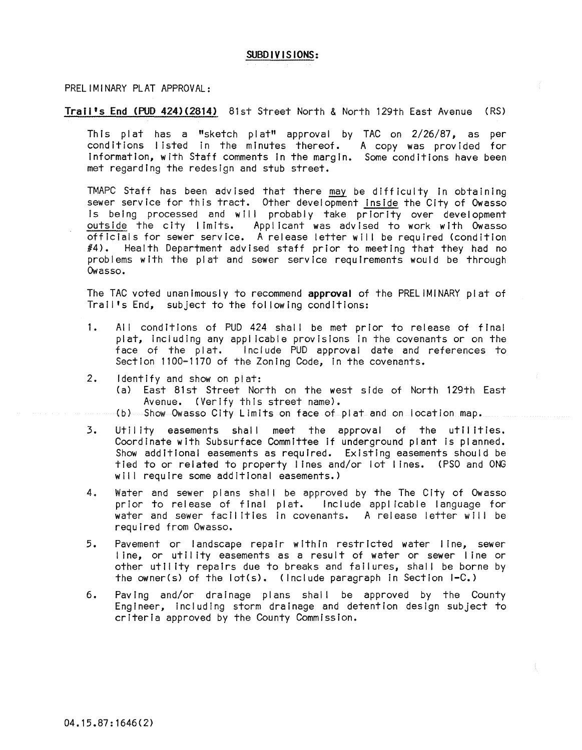# SUBDIVISIONS:

#### PRELIMINARY PLAT APPROVAL:

# Trail's End (PUD 424)(2814) 81st Street North & North 129th East Avenue (RS)

This plat has a "sketch plat" approval by TAC on 2/26/87, as per conditions listed in the minutes thereof. A copy was provided for Information, with Staff comments In the margin. Some condItions have been met regarding the redesign and stub street.

TMAPC Staff has been advised that there may be difficulty in obtaining sewer service for this tract. Other development Inside the City of Owasso Is being processed and will probably take priority over development outside the city limits. Applicant was advised to work with Owasso officials for sewer service. A release letter wll I be required (condition  $#4$ ). Health Department advised staff prior to meeting that they had no problems with the plat and sewer service requIrements would be through Owasso.

The TAC voted unanimously to recommend approval of the PRELIMINARY plat of Trail's End, subject to the following conditions:

- 1. All conditions of PUD 424 shall be met prior to release of final plat, including any applicable provisions in the covenants or on the face of the plat. Include PUD approval date and references to Section 1100-1170 of the Zoning Code, in the covenants.
- 2. Identify and show on plat:
	- (a) East 81st Street North on the west side of North 129th East Avenue. (Verify this street name).
	- $(b)$  Show Owasso City Limits on face of plat and on location map.
- 3. Utility easements shall meet the approval of the utilities. Coordinate with Subsurface Committee If underground plant is planned. Show additional easements as required. Existing easements should be tied to or related to property lines and/or lot lines. (PSO and ONG will require some additional easements.)
- 4. Water and sewer plans shall be approved by the The City of Owasso prior to release of final plat. Include applicable language for water and sewer facilities In covenants. A release letter will be required from Owasso.
- 5. Pavement or landscape repair within restricted water line, sewer line, or utility easements as a result of water or sewer line or other utility repairs due to breaks and failures, shall be borne by the owner(s) of the lot(s). (Include paragraph in Section I-C.)
- 6. Paving and/or drainage plans shall be approved by the County Engineer, Including storm drainage and detention design subject to criteria approved by the County Commission.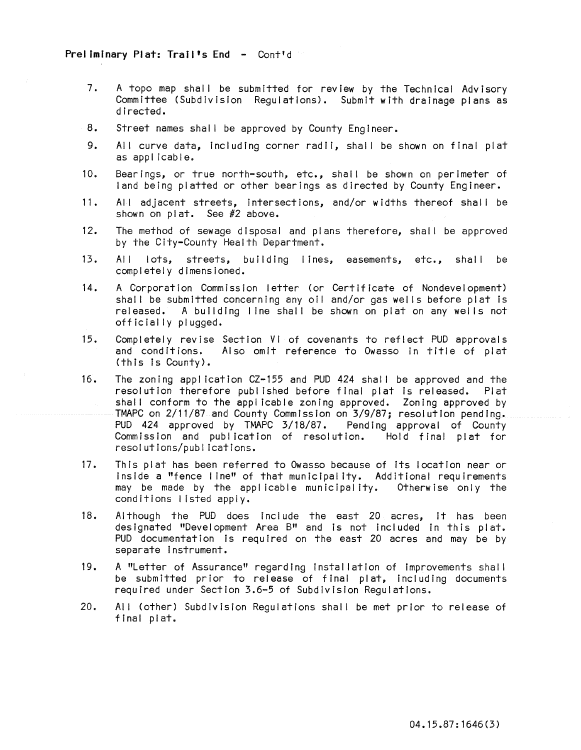# Preliminary Plat: Trail's End - Cont'd

- 7. A topo map shall be submitted for review by the Technical Advisory Committee (Subdivision Regulations). Submit with drainage plans as directed.
- 8. Street names shall be approved by County Engineer.
- 9. All curve data, including corner radii, shall be shown on final plat as applicable.
- 10. Bearings, or true north-south, etc., shal I be shown on perimeter of land being platted or other bearings as directed by County Engineer.
- 11. All adjacent streets, Intersections, and/or widths thereof shall be shown on plat. See #2 above.
- 12. The method of sewage disposal and plans therefore, shal I be approved by the City-County Health Department.
- 13. All lots, streets, building I ines, easements, etc., shall be completely dimensioned.
- 14. A Corporation Commission letter (or Certificate of Nondevelopment) shall be submitted concerning any oil and/or gas wells before plat is released. A building line shall be shown on plat on any wells not officially plugged.
- 15. Completely revise Section VI of covenants to reflect PUD approvals and conditions. Also omit reference to Owasso In title of plat (this Is County).
- 16. The zoning application CZ-155 and PUD 424 shall be approved and the resolution therefore publ ished before final plat Is released. Plat shall conform to the applicable zoning approved. Zoning approved by TMAPC on 2/11/87 and County Commission on 3/9/87; resolution pending. PUD 424 approved by TMAPC 3/18/87. Pending approval of County<br>Commission and publication of resolution. Hold final plat for Commission and publication of resolution. resolutions/publications.
- 17. This plat has been referred to Owasso because of its location near or Inside a "fence line" of that municipality. Additional requirements may be made by the applicable municipality. Otherwise only the conditions listed apply.
- 18. Although the PUD does Include the east 20 acres, It has been designated "Development Area B" and is not included in this plat. PUD documentation is required on the east 20 acres and may be by separate Instrument.
- 19. A "Letter of Assurance" regarding Installation of improvements shal I be submitted prior to release of final plat, including documents required under Section 3.6-5 of Subdivision Regulations.
- 20. All (other) Subdivision Regulations shall be met prior to release of final plat.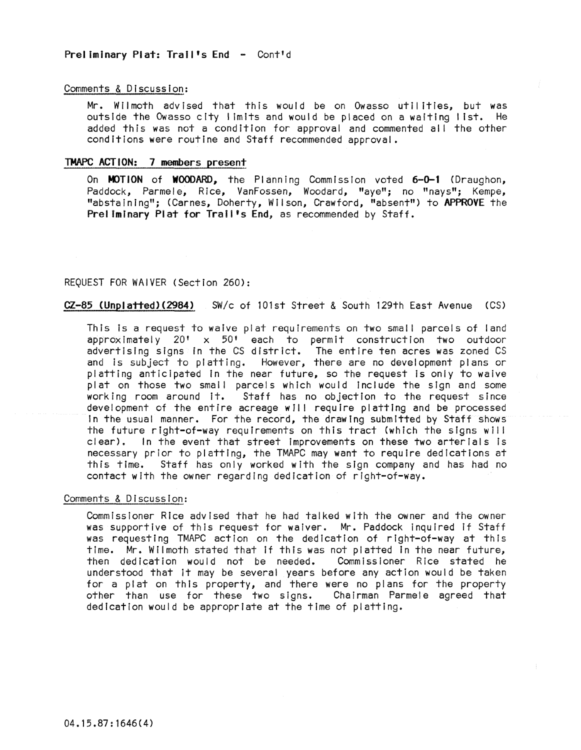# Preliminary Plat: Trail's End - Cont'd

#### Comments & Discussion:

Mr. Wilmoth advised that this would be on Owasso utilities, but was outside the Owasso city I imlts and would be placed on a waiting list. He added this was not a condition for approval and commented all the other conditions were routine and Staff recommended approval.

# TMAPC ACTION: 7 members present

On **MOTION** of **WOODARD**, the Planning Commission voted 6-0-1 (Draughon, Paddock, Parmele, Rice, VanFossen, Woodard, "aye"; no "nays"; Kempe, "abstaining"; (Carnes, Doherty, Wilson, Crawford, "absent") to APPROVE the Preliminary Plat for Trail's End, as recommended by Staff.

# REQUEST FOR WAIVER (Section 260):

# CZ-85 (Unplatted)(2984) SW/c of 101st Street & South 129th East Avenue (CS)

This is a request to waive plat requirements on two small parcels of land approximately 20' x 50' each to permit construction two outdoor advertising signs in the CS district. The entire ten acres was zoned CS and is subject to platting. However, there are no development plans or platting anticipated In the near future, so the request Is only to waive plat on those two small parcels which would include the sign and some working room around It. Staff has no objection to the request since development of the entire acreage will require platting and be processed In the usual manner. For the record, the drawing submitted by Staff shows the future right-of-way requirements on this tract (which the signs will clear). In the event that street Improvements on these two arterials Is necessary prior to platting, the TMAPC may want to require dedications at this time. Staff has only worked with the sign company and has had no contact with the owner regarding dedication of right-of-way.

#### Comments & Discussion:

Commissioner Rice advised that he had talked with the owner and the owner was supportive of this request for waiver. Mr. Paddock inquired If Staff was requesting TMAPC action on the dedication of right-of-way at this time. Mr. Wilmoth stated that if this was not platted in the near future,<br>then dedication would not be needed. Commissioner Rice stated he then dedication would not be needed. understood that It may be several years before any action would be taken for a plat on this property, and there were no plans for the property other than use for these two signs. Chairman Parmele agreed that dedication would be appropriate at the time of platting.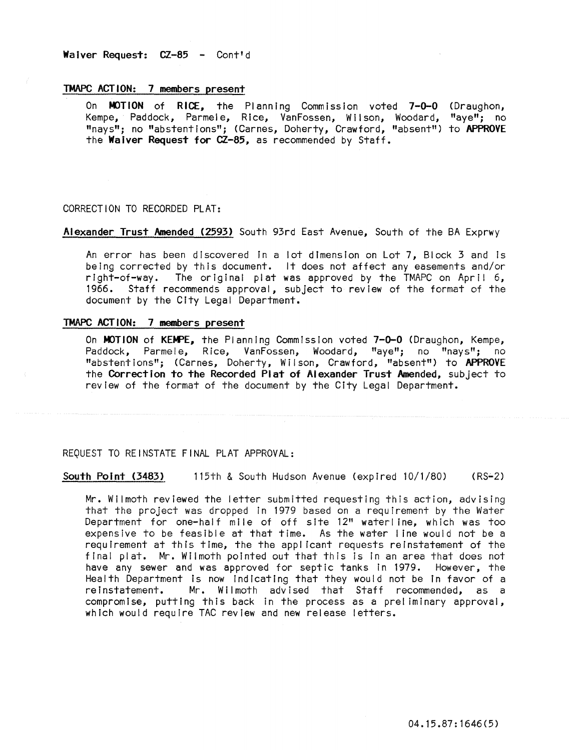#### TMAPC ACTION: 7 members present

On MOTION of RICE, the Planning Commission voted 7-0-0 Kempe, Paddock, Parmele, Rice, VanFossen, Wilson, Woodard, "nays"; no "abstentions"; (Carnes, Doherty, Crawford, "absent") the Waiver Request for CZ-85, as recommended by Staff. (Draughon, "aye"; no to APPROVE

#### CORRECTION TO RECORDED PLAT:

Alexander Trust Amended (2593) South 93rd East Avenue, South of the BA Exprwy

An error has been discovered in a lot dimension on Lot 7, Block 3 and is being corrected by this document. It does not affect any easements and/or right-of-way. The original plat was approved by the TMAPC on April  $6$ , 1966. Staff recommends approval, subject to review of the format of the document by the City Legal Department.

#### TMAPC ACTION: 7 members present

On MOTION of KEMPE, the Planning Commission voted 7-0-0 (Draughon, Kempe, Paddock, Parmele, Rice, VanFossen, Woodard, "ave"; no "navs"; no Parmele, Rice, VanFossen, Woodard, "aye"; no "nays"; no "abstentions"; (Carnes, Doherty, Wilson, Crawford, "absent") to APPROVE the Correction to the Recorded Plat of Alexander Trust Amended, subject to review of the format of the document by the City Legal Department.

#### REQUEST TO REINSTATE FINAL PLAT APPROVAL:

South Point (3483) 115th & South Hudson Avenue (expired 10/1/80) (RS-2)

Mr. Wilmoth reviewed the letter submitted requesting this action, advising that the project was dropped in 1979 based on a requirement by the Water Department for one-half mile of off site 12" waterline, which was too expensive to be feasible at that time. As the water I ine would not be a requirement at this time, the the appl icant requests reinstatement of the final plat. Mr. Wilmoth pointed out that this is in an area that does not have any sewer and was approved for septic tanks in 1979. However, the Health Department Is now Indicating that they would not be In favor of a reinstatement. Mr. Wilmoth advised that Staff recommended, as a compromise, putting this back in the process as a preliminary approval, which would require TAC review and new release letters.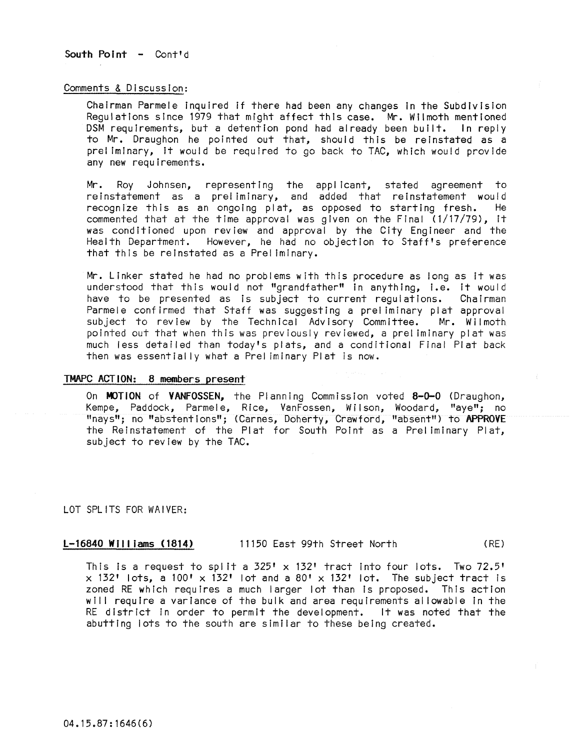South Point - Cont'd

#### Comments & Discussion:

Chairman Parmele Inquired If there had been any changes In the Subdivision Regulations since 1979 that might affect this case. Mr. Wilmoth mentioned DSM requirements, but a detention pond had already been built. In reply to Mr. Draughon he pointed out that, should this be reinstated as a **pral iminary, it would be requIred to go back to TAe, which would provide**  any new requirements.

Mr. Roy Johnsen, representing the applicant, stated agreement to reinstatement as a preliminary, and added that reinstatement would<br>recognize this as an ongoing plat, as opposed to starting fresh. He recognize this as an ongoing plat, as opposed to starting fresh. commented that at the time approval was given on the Final (1/17/79), it was conditioned upon review and approval by the City Engineer and the Health Department. However, he had no objection to Staff's preference that this be reinstated as a Prel iminary.

Mr. Linker stated he had no problems with this procedure as long as it was understood that this would not "grandfather" in anything, i.e. it would have to be presented as is subject to current regulations. Chairman Parmele conf irmed that Staff was suggesting a prel iminary plat approval subject to review by the Technical Advisory Committee. Mr. Wilmoth pointed out that when this was previously reviewed, a prel iminary plat was much less detailed than today's plats, and a conditional Final Plat back then was essentially what a Prel iminary Plat is now.

#### TMAPC ACTION: 8 members present

On MOTION of VANFOSSEN, the Planning Commission voted 8-0-0 (Draughon, Kempe, Paddock, Parmele, RIce, VanFossen, Wilson, Woodard, "aye"; no "nays"; no "abstentions"; (Carnes, Doherty, Crawford, "absent") to APPROVE the Reinstatement of the Plat for South Point as a Prel iminary Plat, subject to review by the TAC.

LOT SPLITS FOR WAIVER:

# L-16840 Williams (1814) 11150 East 99th Street North ( RE)

This is a request to split a  $325' \times 132'$  tract into four lots. Two  $72.5'$  $x$  132' lots, a 100' x 132' lot and a 80' x 132' lot. The subject tract is zoned RE which requires a much larger lot than Is proposed. This action will require a variance of the bulk and area requirements allowable in the RE district in order to permit the development. It was noted that the abutting lots to the south are similar to these being created.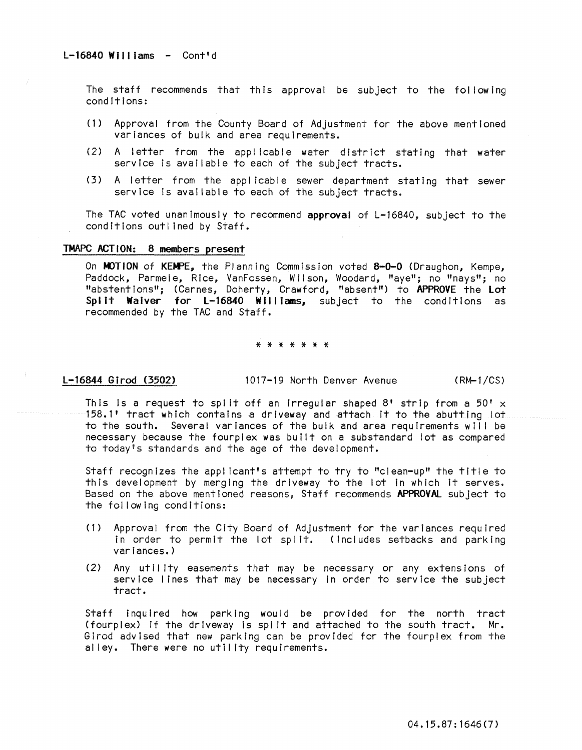The staff recommends that this approval be subject to the following conditions:

- (1) Approval from the County Board of Adjustment for the above mentioned variances of bulk and area requirements.
- (2) A letter from the appl lcable water district stating that water service is available to each of the subject tracts.
- (3) A letter from the applicable sewer department stating that sewer service is available to each of the subject tracts.

The TAC voted unanimously to recommend approval of L-16840, subject to the conditions outl ined by Staff.

# TMAPC ACTION: 8 members present

On MOTION of KEMPE, the Planning Commission voted 8-0-0 (Draughon, Kempe, Paddock, Parmele, Rice, VanFossen, Wilson, Woodard, "aye"; no "nays"; no "abstentions"; (Carnes, Doherty, Crawford, "absent") to APPROVE the lot Split Waiver for L-16840 Williams, subject to the conditions as recommended by the TAC and Staff.

#### \* \* \* \* \* \* \*

l-16844 Girod (3502) 1017-19 North Denver Avenue (RM-1/CS)

This is a request to split off an irregular shaped 8' strip from a 50'  $\times$ 158.1' tract which contains a driveway and attach It to the abutting lot to the south. Several variances of the bulk and area requirements wll I be necessary because the fourplex was built on a substandard lot as compared to today's standards and the age of the development.

Staff recognizes the applicant's attempt to try to "clean-up" the title to this development by merging the driveway to the lot In which it serves. Based on the above mentioned reasons. Staff recommends APPROVAL subject to the fol lowing conditions:

- (1) Approval from the City Board of Adjustment for the variances required In order to permit the lot split. (Includes setbacks and parking variances.)
- (2) Any utility easements that may be necessary or any extensions of service lines that may be necessary In order to service the subject tract.

Staff Inquired how parking would be provided for the north tract (fourplex) If the driveway Is spl it and attached to the south tract. Mr. Girod advised that new parking can be provided for the fourplex from the alley. There were no utility requirements.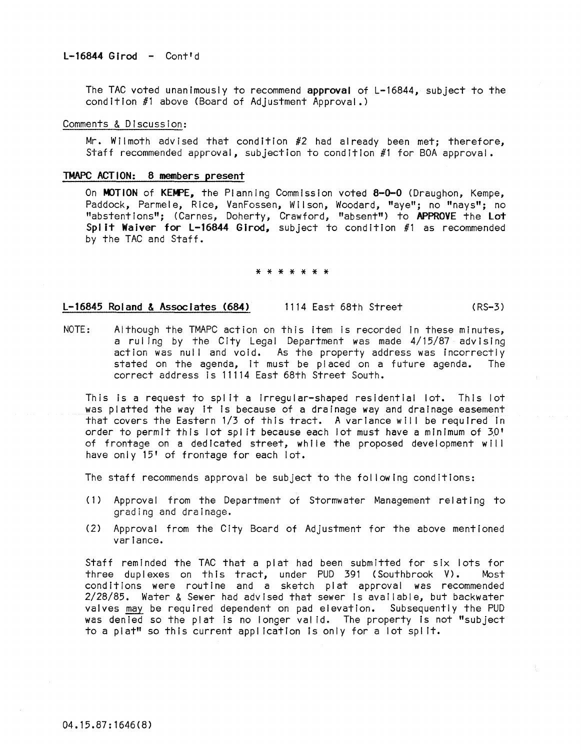The TAC voted unanimously to recommend approval of L-16844, subject to the condition #1 above (Board of Adjustment Approval.)

#### Comments & Discussion:

Mr. Wilmoth advised that condition #2 had already been met; therefore, Staff recommended approval, subjection to condition #1 for BOA approval.

#### TMAPC ACTION: 8 members present

On MOTION of KEMPE, the Planning Commission voted 8-0-0 (Draughon, Kempe, Paddock, Parmele, Rice, VanFossen, Wilson, Woodard, "aye"; no "nays"; no "abstentions"; (Carnes, Doherty, Crawford, "absent") to APPROVE the Lot Split Waiver for L-16844 Girod, subject to condition  $#1$  as recommended **by the TAC and Staff.** 

\* \* \* \* \* \* \*

# L-16845 Roland & Associates (684) 1114 East 68th Street (RS-3)

NOTE: Although the TMAPC action on this item is recorded in these minutes, a ruling by the City Legal Department was made 4/15/87 advising action was null and void. As the property address was incorrectly stated on the agenda, it must be pi aced on a future agenda. The correct address is 11114 East 68th Street South.

This is a request to spilt a irregular-shaped residential lot. This lot was platted the way It Is because of a drainage way and drainage easement that covers the Eastern 1/3 of this tract. A variance will be required in order to permit this lot spl it because each lot must have a minimum of 30' of frontage on a dedicated street, while the proposed development will have only 15' of frontage for each lot.

The staff recommends approval be subject to the following conditions:

- (1) Approval from the Department of Stormwater Management relating to grading and drainage.
- (2) Approval from the City Board of Adjustment for the above mentioned variance.

Staff reminded the TAC that a plat had been submitted for six lots for three duplexes on this tract, under PUD 391 (Southbrook V). Most conditions were routine and a sketch plat approval was recommended 2/28/85. Water & Sewer had advised that sewer Is available, but backwater valves may be required dependent on pad elevation. Subsequently the PUD was denied so the plat is no longer valid. The property Is not "subject to a plat" so this current appl icatlon Is only for a lot spilt.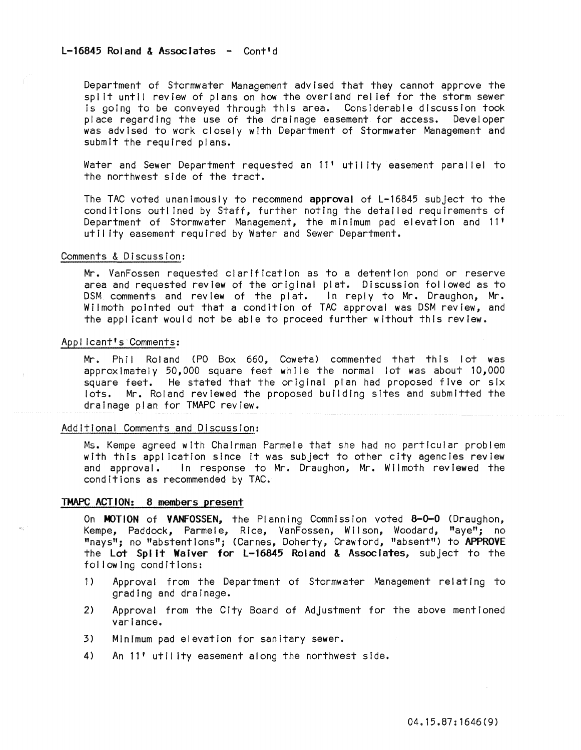# L-16845 Roland & Associates - Cont'd

Department of Stormwater Management advised that they cannot approve the split until review of plans on how the overland relief for the storm sewer Is going to be conveyed through this area. Considerable discussion took place regarding the use of the drainage easement for access. Developer was advised to work closely with Department of Stormwater Management and submit the required plans.

Water and Sewer Department requested an 11' utility easement parallel to the northwest side of the tract.

The TAC voted unanimously to recommend approval of L-16845 subject to the conditions outlined by Staff, further noting the detailed requirements of Department of Stormwater Management, the minimum pad elevation and 11' utility easement required by Water and Sewer Department.

# Comments & Discussion:

Mr. VanFossen requested clarification as to a detention pond or reserve area and requested review of the original plat. Discussion fol lowed as to DSM comments and review of the plat. In reply to Mr. Draughon, Mr. Wilmoth pointed out that a condition of TAC approval was DSM review, and the appl icant would not be able to proceed further without this review.

#### Applicant's Comments:

Mr. Phil Roland (PO Box 660, Coweta) commented that this lot was approximately 50,000 square feet while the normal lot was about 10,000 square feet. He stated that the original plan had proposed five or six lots. Mr. Roland reviewed the proposed building sites and submitted the drainage plan for TMAPC review.

#### Additional Comments and Discussion:

Ms. Kempe agreed with Chairman Parmele that she had no particular problem with this application since It was subject to other city agencies review and approval. In response to Mr. Draughon, Mr. Wilmoth reviewed the conditions as recommended by TAC.

#### TMAPC ACTION: 8 members present

On MOTION of VANFOSSEN, the Planning Commission voted 8-0-0 (Draughon, Kempe, Paddock, Parmele, Rice, VanFossen, Wilson, Woodard, "aye"; no "nays"; no "abstentions"; (Carnes, Doherty, Crawford, "absent") to APPROVE the Lot Spl it Waiver for L-16845 Roland & Associates, subject to the fol lowing conditions:

- 1) Approval from the Department of Stormwater Management relating to grading and drainage.
- 2) Approval from the City Board of Adjustment for the above mentioned variance.
- 3) Minimum pad elevation for sanitary sewer.
- 4) An 11' utility easement along the northwest side.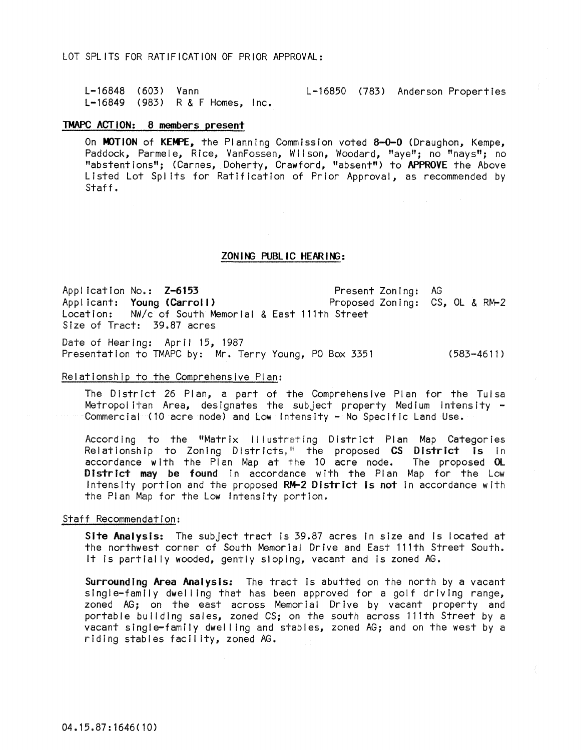LOT SPLITS FOR RATIFICATION OF PRIOR APPROVAL:

L-16848 (603) L-16849 (983) R & F Homes, Inc. L-16850 (783) Anderson Properties

#### TMAPC ACTION: 8 members present

On MOTION of KEMPE, the Planning Commission voted 8-0-0 (Draughon, Kempe, Paddock, Parmele, Rice, VanFossen, Wilson, Woodard, "aye"; no "nays"; no "abstent Ions"; (Carnes, Doherty, Crawford, "absent") to APPROVE the Above Listed Lot Spl Its for Ratification of Prior Approval, as recommended by Staff.

ZONING PUBLIC HEARING:

Application No.: Z-6153 Applicant: Young (Carroll)<br>Location: NW/c of South Me Location: NW/c of South Memorial & East l11th Street Size of Tract: 39.87 acres Present Zoning: AG Proposed Zoning: CS, OL & RM-2

Date of Hearing: April 15, 1987 Presentation to TMAPC by: Mr. Terry Young, PO Box 3351 (583-4611)

# Relationship to the Comprehensive Plan:

The District 26 Plan, a part of the Comprehensive Plan for the Tulsa Metropol itan Area, designates the subject property Medium Intensity - Commercial (10 acre node) and Low Intensity - No Specific Land Use.

According to the "Matrix Illustrating District Plan Map Categories Relationship to Zoning Districts," the proposed CS District is in The proposed OL accordance with the Plan Map at the 10 acre node. District may be found in accordance with the Plan Map for the Low Intensity portion and the proposed RM-2 District is not in accordance with the Plan Map for the Low Intensity portion.

#### Staff Recommendation:

Site Analysis: The subject tract is 39.87 acres in size and is located at the northwest corner of South Memorial Drive and East l11th Street South. It is partially wooded, gently sloping, vacant and is zoned AG.

Surrounding Area Analysis: The tract Is abutted on the north by a vacant sing I e-family dwelling that has been approved for a golf driving range, zoned AG; on the east across Memorial Drive by vacant property and portable building sales, zoned CS; on the south across 111th Street by a vacant single-family dwel ling and stables, zoned AG; and on the west by a riding stables facility, zoned AG.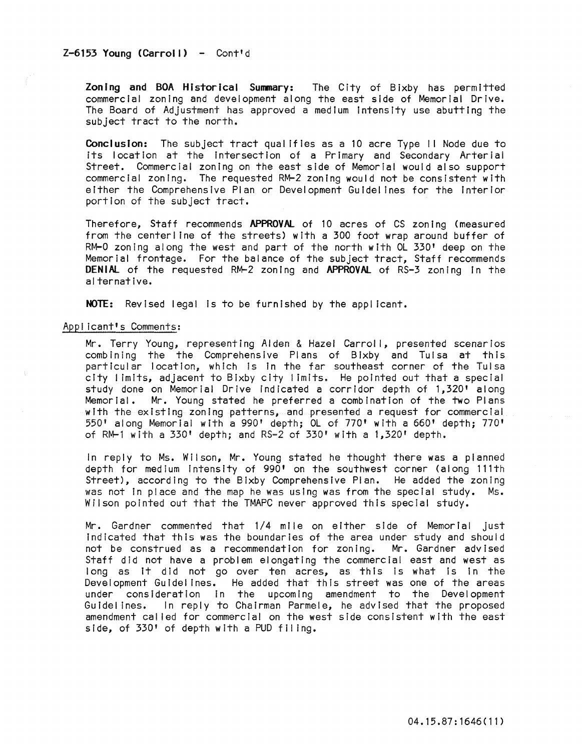Zoning and BOA Historical Summary: The City of Bixby has permitted commercial zoning and development along the east side of Memorial Drive. The Board of Adjustment has approved a medium Intensity use abutting the subject tract to the north.

Conclusion: The subject tract qualifies as a 10 acre Type II Node due to its location at the Intersection of a Primary and Secondary Arterial Street. Commercial zoning on the east side of Memorial would also support commercial zoning. The requested RM-2 zoning would not be consistent with either the Comprehensive Plan or Development Guldel ines for the Interior portion of the subject tract.

Therefore, Staff recommends APPROVAL of 10 acres of CS zoning (measured from the centerline of the streets) with a 300 foot wrap around buffer of RM-O zoning along the west and part of the north with OL 330' deep on the Memorial frontage. For the balance of the subject tract, Staff recommends DENIAL of the requested RM-2 zoning and APPROVAL of RS-3 zoning in the alternative.

NOTE: Revised legal is to be furnished by the applicant.

# Applicant's Comments:

Mr. Terry Young, representing Alden & Hazel Carroll, presented scenarios combining the the Comprehensive Plans of Bixby and Tulsa at this particular location, which Is In the far southeast corner of the Tulsa city I imlts, adjacent to Bixby city I imlts. He pointed out that a special study done on Memorial Drive indicated a corridor depth of 1,320' along Memorial. Mr. Young stated he preferred a combination of the two Plans with the existing zoning patterns, and presented a request for commercial 550' along Memorial with a 990' depth; OL of 770' with a 660' depth; 770' of RM-i with a 330' depth; and RS=2 of 330' with a 1,320' depth.

In reply to Ms. Wilson, Mr. Young stated he thought there was a planned depth for medium Intensity of 990' on the southwest corner (along 111th Street), according to the Bixby Comprehensive Plan. He added the zoning was not In place and the map he was using was from the special study. Ms. Wilson pointed out that the TMAPC never approved this special study.

Mr. Gardner commented that 1/4 mile on either side of Memorial just Indicated that this was the boundaries of the area under study and should not be construed as a recommendation for zoning. Mr. Gardner advised Staff did not have a problem elongating the commercial east and west as long as It did not go over ten acres, as this Is what Is in the Development Guidelines. He added that this street was one of the areas under consideration In the upcoming amendment to the Development Guidelines. In reply to Chairman Parmele, he advised that the proposed amendment cal led for commercial on the west side consistent with the east side, of 330' of depth with a PUD filing.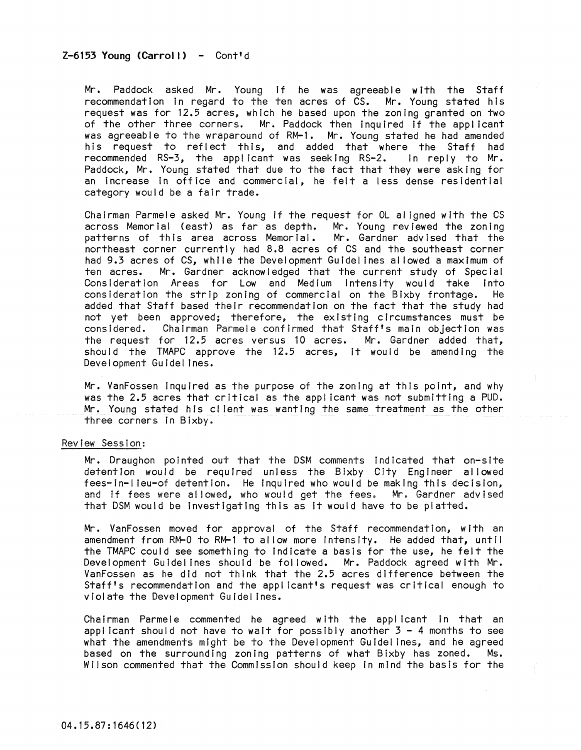# Z-6153 Young (Carroll) - Cont'd

Mr. Paddock asked Mr. Young If he was agreeable with the Staff recommendation in regard to the ten acres of  $\check{C}S$ . Mr. Young stated his request was for 12.5 acres, which he based upon the zoning granted on two of the other three corners. Mr. Paddock then inquired if the applicant was agreeable to the wraparound of RM-1. Mr. Young stated he had amended his request to reflect this, and added that where the Staff had recommended RS-3, the applicant was seeking RS-2. In reply to Mr. Paddock, Mr. Young stated that due to the fact that they were asking for an Increase In office and commercial, he felt a less dense residential category would be a fair trade.

Chairman Parmele asked Mr. Young if the request for OL al igned with the CS across Memorial (east) as far as depth. Mr. Young reviewed the zoning patterns of this area across Memorial. Mr. Gardner advised that the northeast corner currently had 8.8 acres of CS and the southeast corner had 9.3 acres of CS, while the Development Guidelines allowed a maximum of ten acres. Mr. Gardner acknowledged that the current study of Special Mr. Gardner acknowledged that the current study of Special Consideration Areas for Low and Medium Intensity would take Into consideration the strip zoning of commercial on the Bixby frontage. He added that Staff based their recommendation on the fact that the study had not yet been approved; therefore, the existing circumstances must be considered. Chairman Parmele confirmed that Staff's main objection was the request for 12.5 acres versus 10 acres. Mr. Gardner added that, should the TMAPC approve the 12.5 acres, It would be amending the Development Guidelines.

Mr. VanFossen Inquired as the purpose of the zoning at this point, and why was the 2.5 acres that critical as the applicant was not submitting a PUD. Mr. Young stated his client was wanting the same treatment as the other three corners In Bixby.

# Review Session:

Mr. Draughon pointed out that the DSM comments indicated that on-site detention would be required unless the Bixby City Engineer al lowed fees-in-I leu-of detention. He inquired who would be making this decision, and if fees were allowed, who would get the fees. Mr. Gardner advised that DSM would be Investigating this as It would have to be platted.

Mr. VanFossen moved for approval of the Staff recommendation, with an amendment from RM-O to RM-l to al low more Intensity. He added that, until the TMAPC could see something to Indicate a basis for the use, he felt the Development Guidelines should be followed. Mr. Paddock agreed with Mr. VanFossen as he did not think that the 2.5 acres difference between the Staff's recommendation and the applicant's request was critical enough to violate the Development Guidelines.

Chairman Parmele commented he agreed with the applicant In that an applicant should not have to wait for possibly another  $3 - 4$  months to see what the amendments might be to the Development Guidelines, and he agreed based on the surrounding zoning patterns of what Bixby has zoned. Ms. Wilson commented that the Commission should keep in mind the basis for the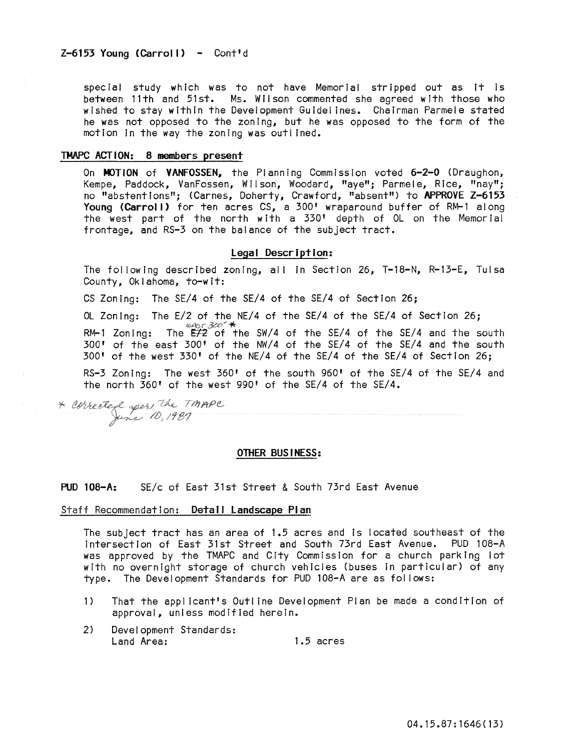special study which was to not have Memorial stripped out as It Is between 11th and 51st. Ms. Wilson commented she agreed with those who wished to stay within the Development Guldei ines. Chairman Parmele stated he was not opposed to the zoning, but he was opposed to the form of the motion In the way the zoning was outlined.

# TMAPC ACTION: 8 members present

On MOTION of VANFOSSEN, the Planning Commission voted 6-2-0 (Draughon, Kempe, Paddock, VanFossen, WI I son, Woodard, "aye"; Parmele, Rice, "nay"; no "abstentions"; (Carnes, Doherty, Crawford, "absent") to APPROVE Z-6153 Young (Carroll) for ten acres CS, a 300' wraparound buffer of RM-1 along the west part of the north with a 330' depth of OL on the Memorial frontage, and RS-3 on the balance of the subject tract.

## Legal Description:

The following described zoning, all in Section 26, T-18-N, R-13-E, Tulsa County, Oklahoma, to-wit:

CS Zoning: The SE/4 of the SE/4 of the SE/4 of Section 26;

OL Zoning: The E/2 of the NE/4 of the SE/4 of the SE/4 of Section 26;  $\frac{1}{20}$  RM-1 Zoning: The  $\frac{1}{2}$  of the SW/4 of the SE/4 of the SE/4 and the south 300' of the east 300' of the NW/4 of the SE/4 of the SE/4 and the south 300' of the west 330' of the NE/4 of the SE/4 of the SE/4 of Section 26;

RS-3 Zoning: The west 360' of the south 960' of the SE/4 of the SE/4 and the north 360' of the west 990' of the SE/4 of the SE/4.

\* corrected sper the TMAPE

#### OTHER BUSINESS:

# PUD 108-A: SE/c of East 31st Street & South 73rd East Avenue

# Staff Recommendation: Detail Landscape Plan

The subject tract has an area of 1.5 acres and is located southeast of the Intersection of East 31st Street and South 73rd East Avenue. PUD 108-A was approved by the TMAPC and City Commission for a church parking lot with no overnight storage of church vehicles (buses in particular) of any type. The Development Standards for PUD 108-A are as fol lows:

- 1) That the appl icant's Outline Development Plan be made a condition of approval, unless modified herein.
- 2) Development Standards: Land Area: 1.5 acres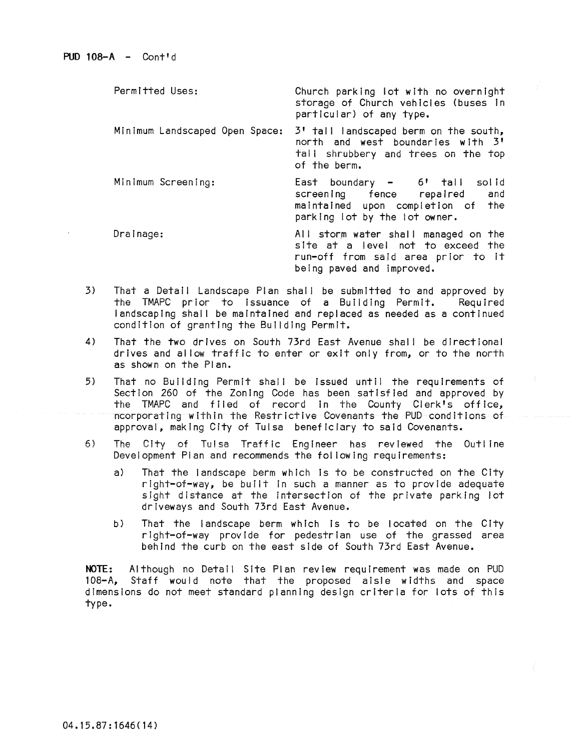| Permitted Uses:                | Church parking lot with no overnight<br>storage of Church vehicles (buses in<br>particular) of any type.                                     |
|--------------------------------|----------------------------------------------------------------------------------------------------------------------------------------------|
| Minimum Landscaped Open Space: | 3' tall landscaped berm on the south,<br>north and west boundaries with 3'<br>tall shrubbery and trees on the top<br>of the berm.            |
| Minimum Screening:             | East boundary - 6' tall solid<br>screening fence repaired and<br>maintained upon completion of the<br>parking lot by the lot owner.          |
| Drainage:                      | All storm water shall managed on the<br>site at a level not to exceed the<br>run-off from said area prior to it<br>being paved and improved. |

- 3) That a Detail Landscape Plan shall be submitted to and approved by<br>the TMAPC prior to issuance of a Building Permit. Required the TMAPC prior to issuance of a Building Permit. landscaping shall be maintained and replaced as needed as a continued condition of granting the Building Permit.
- 4) That the two drives on South 73rd East Avenue shall be directional drives and al low traffic to enter or exit only from, or to the north as shown on the Plan.
- 5) That no Building Permit shall be Issued until the requirements of Section 260 of the Zoning Code has been satisfied and approved by the TMAPC and filed of record In the County Clerk's office, ncorporatlng within the Restrictive Covenants the PUD conditions of approval, making City of Tulsa beneficiary to said Covenants.
- 6) The City of Tulsa Traffic Engineer has reviewed the Outl ine Development Plan and recommends the fol lowing requirements:
	- a) That the landscape berm which Is to be constructed on the City right-of-way, be bu11t In such a manner as to provide adequate sight distance at the intersection of the private parking lot driveways and South 73rd East Avenue.
	- b) That the landscape berm which Is to be located on the City right-of-way provide for pedestrian use of the grassed area behind the curb on the east side of South 73rd East Avenue.

NOTE: Although no Detail Site Plan review requirement was made on PUD<br>108-A. Staff would note that the proposed aisle widths and space Staff would note that the proposed aisle widths and space dimensions do not meet standard planning design criteria for lots of this type.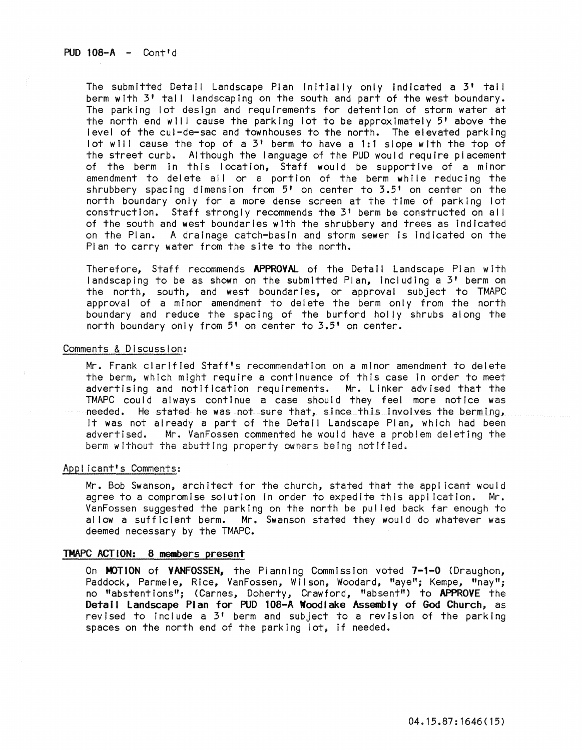The submitted Detail Landscape Plan Initially only Indicated a 3' tall berm with 3' tall landscaping on the south and part of the west boundary. The parking lot design and requirements for detention of storm water at the north end will cause the parking lot to be approximately 5' above the level of the cul-de-sac and townhouses to the north. The elevated parking lot will cause the top of a 3' berm to have a 1:1 slope with the top of the street curb. Although the language of the PUD would require placement of the berm In this location, Staff would be supportive of a minor amendment to delete all or a portion of the berm while reducing the shrubbery spacing dimension from  $5'$  on center to  $3.5'$  on center on the north boundary only for a more dense screen at the time of parking lot construction. Staff strongly recommends the 3' berm be constructed on al I of the south and west boundaries with the shrubbery and trees as indicated on the Plan. A drainage catch-basin and storm sewer is indicated on the Plan to carry water from the site to the north.

Therefore. Staff recommends APPROVAL of the Detail Landscape Plan with landscaping to be as shown on the submitted Plan, Including a 3' berm on the north, south, and west boundaries, or approval subject to TMAPC approval of a minor amendment to delete the berm only from the north boundary and reduce the spacing of the burford holly shrubs along the north boundary only from 5' on center to 3.5' on center.

# Comments & Discussion:

Mr. Frank clarified Staff's recommendation on a minor amendment to delete the berm, which might require a continuance of this case In order to meet advertising and notification requirements. Mr. Linker advised that the TMAPC could always continue a case should they feel more notice was needed. He stated he was not sure that, since this involves the berming, it was not already a part of the Detail Landscape Plan, which had been<br>advertised. Mr. VanFossen commented he would have a problem deleting the Mr. VanFossen commented he would have a problem deleting the berm wIthout the abutting property owners being notified.

#### Appl lcant's Comments:

Mr. Bob Swanson, architect for the church, stated that the appl icant would agree to a compromise solution in order to expedite this appl icatlon. Mr. VanFossen suggested the parking on the north be pul led back far enough to allow a sufficient berm. Mr. Swanson stated they would do whatever was deemed necessary by the TMAPC.

# TMAPC ACTION: 8 members present

On MOTION of VANFOSSEN, the Planning Commission voted 7-1-0 (Draughon, Paddock, Parmele, Rice, VanFossen, Wilson, Woodard, "aye"; Kempe, "nay"; no "abstent Ions"; (Carnes, Doherty, Crawford, "absent") to APPROVE the Detail Landscape Plan for PUD 108-A Woodlake Assembly of God Church, as revised to include a  $3'$  berm and subject to a revision of the parking spaces on the north end of the parking lot, If needed.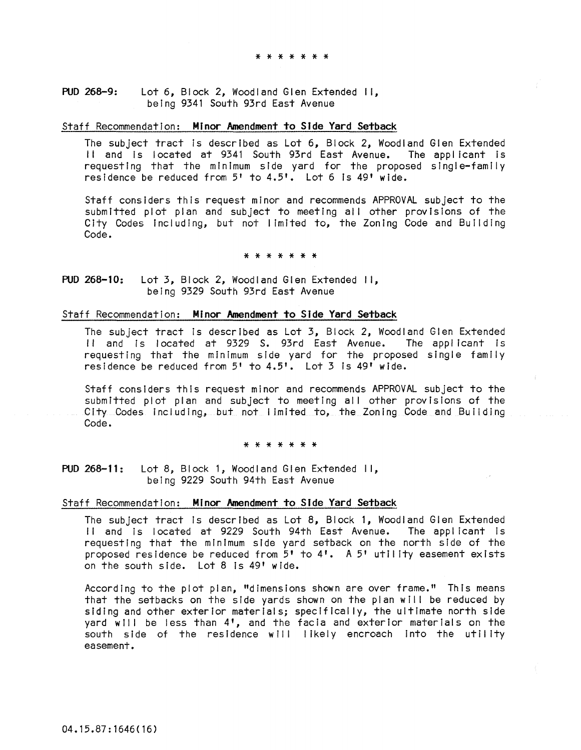#### PUD 268-9: Lot 6, Block 2, Woodland Glen Extended II, being 9341 South 93rd East Avenue

# Staff Recommendation: Minor Amendment to Side Yard Setback

The subject tract is described as Lot 6, Block 2, Woodland Glen Extended II and Is located at 9341 South 93rd East Avenue. The applicant is requesting that the minimum side yard for the proposed single-family residence be reduced from 5' to 4.5'. Lot 6 is 49' wide.

Staff considers this request minor and recommends APPROVAL subject to the submitted plot plan and subject to meeting all other provisions of the City Codes including, but not limited to, the Zoning Code and Building Code.

#### \* \* \* \* \* \* \*

PUD 268-10: Lot 3, Block 2, Woodland Glen Extended II, being 9329 South 93rd East Avenue

# Staff Recommendation: Minor Amendment to Side Yard Setback

The subject tract is described as Lot 3, Block 2, Woodland Glen Extended II and is located at 9329 S. 93rd East Avenue. The applicant is requesting that the minimum side yard for the proposed single family residence be reduced from 5' to 4.5'. Lot 3 Is 49' wide.

Staff consIders this request minor and recommends APPROVAL subject to the submitted plot plan and subject to meeting all other provisions of the City Codes including, but not limited to, the Zoning Code and Building Code.

#### \* \* \* \* \* \* \*

PUD 268-11: Lot 8, Block 1, Woodland Glen Extended II, being 9229 South 94th East Avenue

# Staff Recommendation: Minor Amendment to Side Yard Setback

The subject tract Is described as Lot 8, Block 1, Woodland Glen Extended II and is located at 9229 South 94th East Avenue. The applicant is requesting that the minimum side yard setback on the north side of the proposed residence be reduced from 5' to 4'. A 5' utility easement exists on the south side. Lot 8 Is 49' wide.

According to the plot plan, "dimensions shown are over frame." This means that the setbacks on the side yards shown on the plan will be reduced by siding and other exterior materials; specifically, the ultimate north side yard will be less than 4', and the facia and exterior materials on the south side of the residence will likely encroach into the utility easement.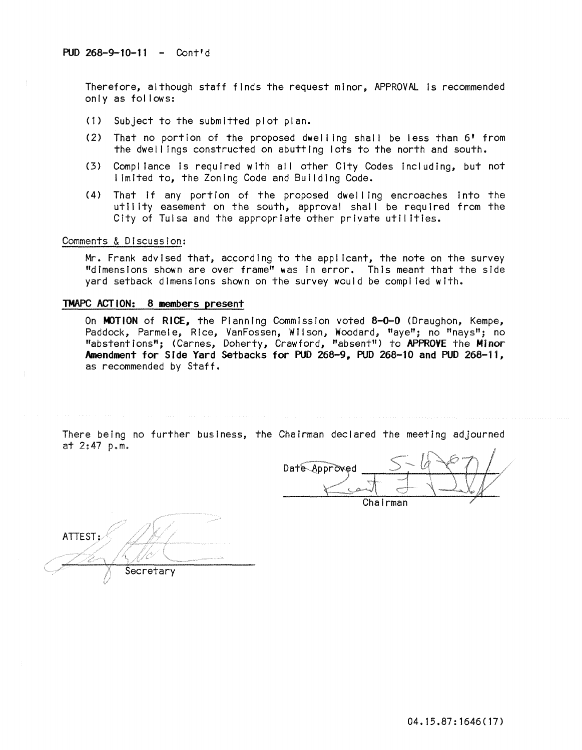Therefore, although staff finds the request minor, APPROVAL Is recommended only as follows:

- (1) Subject to the submitted plot plan.
- (2) That no portion of the proposed dwel ling shall be less than 6' from the dwel lings constructed on abutting lots to the north and south.
- (3) Compliance is required with all other City Codes including, but not limited to, the Zoning Code and Building Code.
- (4) That if any portion of the proposed dwelling encroaches into the utility easement on the south, approval shall be required from the City of Tulsa and the appropriate other private utilities.

# Comments & D!scusslon:

Mr. Frank advised that, according to the applicant, the note on the survey "dimensions shown are over frame" was In error. This meant that the side yard setback dimensions shown on the survey would be compl led with.

#### TMAPC ACTION: 8 members present

On MOTION of RICE, the Planning Commission voted 8-0-0 (Draughon, Kempe, Paddock, Parmele, Rice, VanFossen, Wilson, Woodard, "aye"; no "nays"; no "abstentions"; (Carnes, Doherty, Crawford, "absent") to APPROVE the Minor Amendment for Side Yard Setbacks for PUD 268-9, PUD 268-10 and PUD 268-11, as recommended by Staff.

There being no further business, the Chairman declared the meeting adjourned at 2:47 p.m.

Date Approved Chairman

ATTEST: Secretary